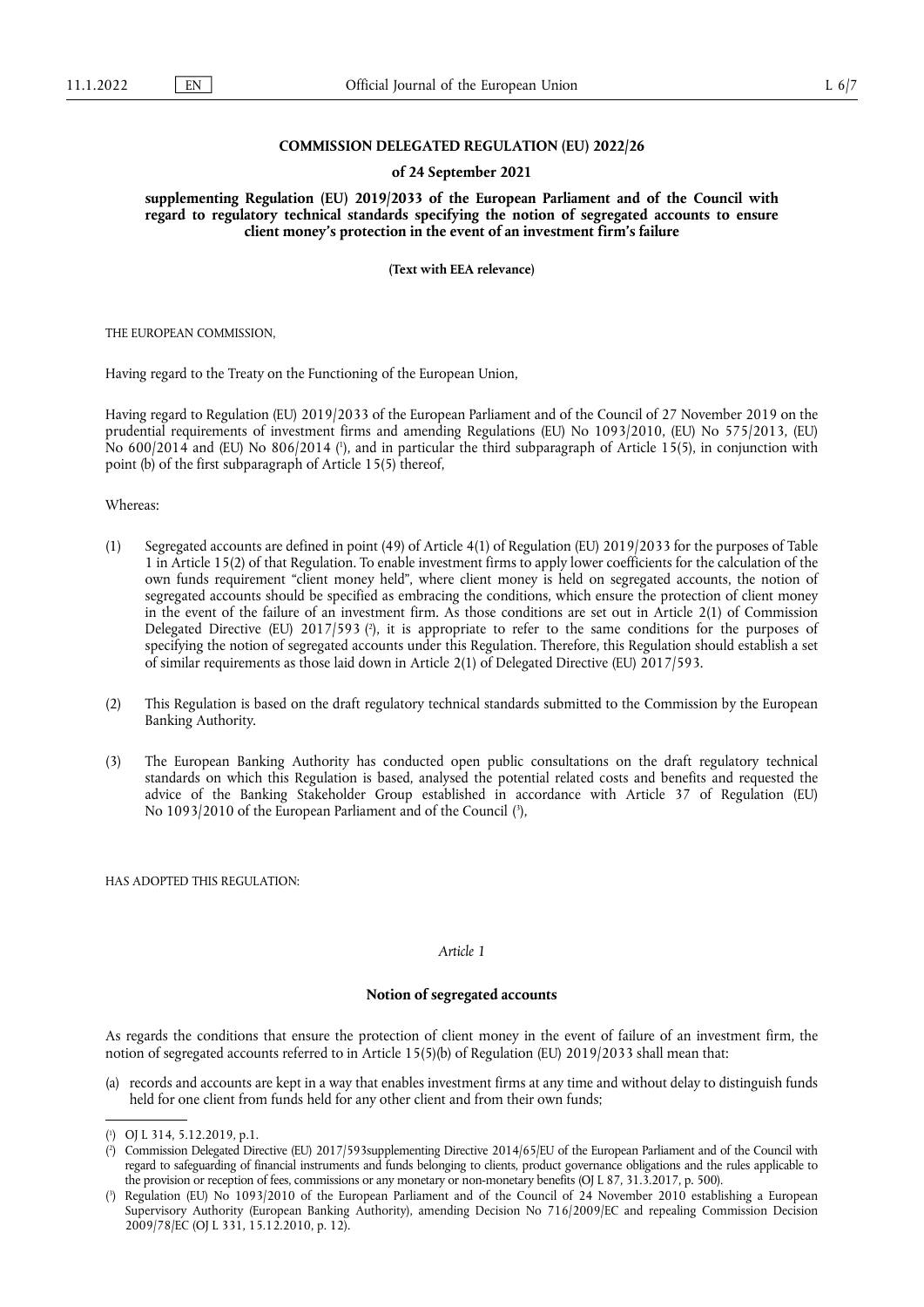## **COMMISSION DELEGATED REGULATION (EU) 2022/26**

### **of 24 September 2021**

**supplementing Regulation (EU) 2019/2033 of the European Parliament and of the Council with regard to regulatory technical standards specifying the notion of segregated accounts to ensure client money's protection in the event of an investment firm's failure** 

**(Text with EEA relevance)** 

THE EUROPEAN COMMISSION,

Having regard to the Treaty on the Functioning of the European Union,

<span id="page-0-3"></span>Having regard to Regulation (EU) 2019/2033 of the European Parliament and of the Council of 27 November 2019 on the prudential requirements of investment firms and amending Regulations (EU) No 1093/2010, (EU) No 575/2013, (EU) No 600/2014 and (EU) No 806/2014 ( 1 [\),](#page-0-0) and in particular the third subparagraph of Article 15(5), in conjunction with point (b) of the first subparagraph of Article 15(5) thereof,

Whereas:

- <span id="page-0-4"></span>(1) Segregated accounts are defined in point (49) of Article 4(1) of Regulation (EU) 2019/2033 for the purposes of Table 1 in Article 15(2) of that Regulation. To enable investment firms to apply lower coefficients for the calculation of the own funds requirement "client money held", where client money is held on segregated accounts, the notion of segregated accounts should be specified as embracing the conditions, which ensure the protection of client money in the event of the failure of an investment firm. As those conditions are set out in Article 2(1) of Commission Delegated Directive (EU) 2017/593 (?[\),](#page-0-1) it is appropriate to refer to the same conditions for the purposes of specifying the notion of segregated accounts under this Regulation. Therefore, this Regulation should establish a set of similar requirements as those laid down in Article 2(1) of Delegated Directive (EU) 2017/593.
- (2) This Regulation is based on the draft regulatory technical standards submitted to the Commission by the European Banking Authority.
- <span id="page-0-5"></span>(3) The European Banking Authority has conducted open public consultations on the draft regulatory technical standards on which this Regulation is based, analysed the potential related costs and benefits and requested the advice of the Banking Stakeholder Group established in accordance with Article 37 of Regulation (EU) No 1093/2010 of the European Parliament and of the Council ( 3 [\),](#page-0-2)

HAS ADOPTED THIS REGULATION:

#### *Article 1*

# **Notion of segregated accounts**

As regards the conditions that ensure the protection of client money in the event of failure of an investment firm, the notion of segregated accounts referred to in Article 15(5)(b) of Regulation (EU) 2019/2033 shall mean that:

(a) records and accounts are kept in a way that enables investment firms at any time and without delay to distinguish funds held for one client from funds held for any other client and from their own funds;

<span id="page-0-0"></span>[<sup>\(</sup>](#page-0-3) 1 ) OJ L 314, 5.12.2019, p.1.

<span id="page-0-1"></span>[<sup>\(</sup>](#page-0-4) 2 ) Commission Delegated Directive (EU) 2017/593supplementing Directive 2014/65/EU of the European Parliament and of the Council with regard to safeguarding of financial instruments and funds belonging to clients, product governance obligations and the rules applicable to the provision or reception of fees, commissions or any monetary or non-monetary benefits (OJ L 87, 31.3.2017, p. 500).

<span id="page-0-2"></span>[<sup>\(</sup>](#page-0-5) 3 ) Regulation (EU) No 1093/2010 of the European Parliament and of the Council of 24 November 2010 establishing a European Supervisory Authority (European Banking Authority), amending Decision No 716/2009/EC and repealing Commission Decision 2009/78/EC (OJ L 331, 15.12.2010, p. 12).